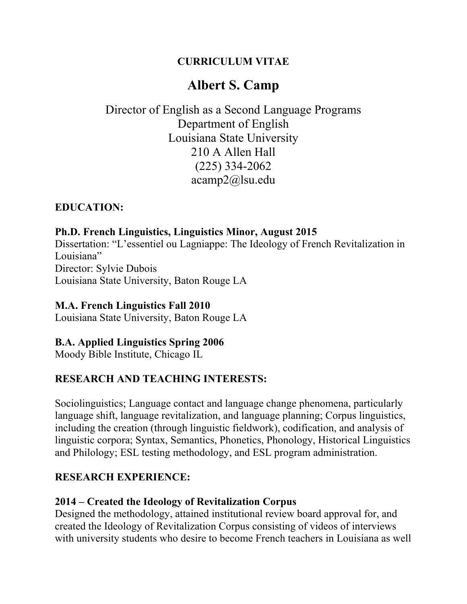## **CURRICULUM VITAE**

# **Albert S. Camp**

## Director of English as a Second Language Programs Department of English Louisiana State University 210 A Allen Hall (225) 334-2062 acamp2@lsu.edu

#### **EDUCATION:**

## **Ph.D. French Linguistics, Linguistics Minor, August 2015** Dissertation: "L'essentiel ou Lagniappe: The Ideology of French Revitalization in Louisiana" Director: Sylvie Dubois

Louisiana State University, Baton Rouge LA

## **M.A. French Linguistics Fall 2010**

Louisiana State University, Baton Rouge LA

#### **B.A. Applied Linguistics Spring 2006**

Moody Bible Institute, Chicago IL

## **RESEARCH AND TEACHING INTERESTS:**

Sociolinguistics; Language contact and language change phenomena, particularly language shift, language revitalization, and language planning; Corpus linguistics, including the creation (through linguistic fieldwork), codification, and analysis of linguistic corpora; Syntax, Semantics, Phonetics, Phonology, Historical Linguistics and Philology; ESL testing methodology, and ESL program administration.

## **RESEARCH EXPERIENCE:**

#### **2014 – Created the Ideology of Revitalization Corpus**

Designed the methodology, attained institutional review board approval for, and created the Ideology of Revitalization Corpus consisting of videos of interviews with university students who desire to become French teachers in Louisiana as well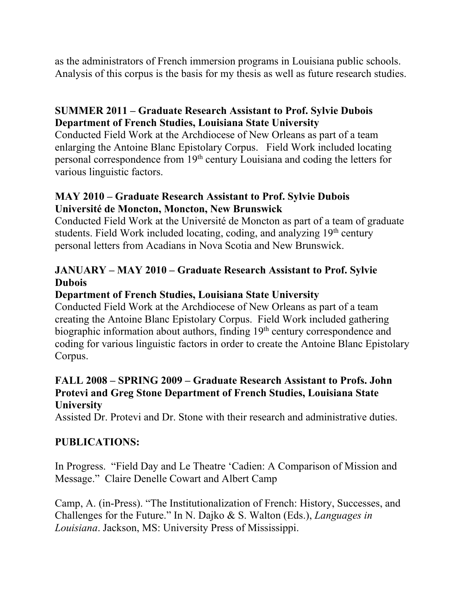as the administrators of French immersion programs in Louisiana public schools. Analysis of this corpus is the basis for my thesis as well as future research studies.

### **SUMMER 2011 – Graduate Research Assistant to Prof. Sylvie Dubois Department of French Studies, Louisiana State University**

Conducted Field Work at the Archdiocese of New Orleans as part of a team enlarging the Antoine Blanc Epistolary Corpus. Field Work included locating personal correspondence from 19th century Louisiana and coding the letters for various linguistic factors.

#### **MAY 2010 – Graduate Research Assistant to Prof. Sylvie Dubois Université de Moncton, Moncton, New Brunswick**

Conducted Field Work at the Université de Moncton as part of a team of graduate students. Field Work included locating, coding, and analyzing 19<sup>th</sup> century personal letters from Acadians in Nova Scotia and New Brunswick.

### **JANUARY – MAY 2010 – Graduate Research Assistant to Prof. Sylvie Dubois**

#### **Department of French Studies, Louisiana State University**

Conducted Field Work at the Archdiocese of New Orleans as part of a team creating the Antoine Blanc Epistolary Corpus. Field Work included gathering biographic information about authors, finding 19<sup>th</sup> century correspondence and coding for various linguistic factors in order to create the Antoine Blanc Epistolary Corpus.

#### **FALL 2008 – SPRING 2009 – Graduate Research Assistant to Profs. John Protevi and Greg Stone Department of French Studies, Louisiana State University**

Assisted Dr. Protevi and Dr. Stone with their research and administrative duties.

## **PUBLICATIONS:**

In Progress. "Field Day and Le Theatre 'Cadien: A Comparison of Mission and Message." Claire Denelle Cowart and Albert Camp

Camp, A. (in-Press). "The Institutionalization of French: History, Successes, and Challenges for the Future." In N. Dajko & S. Walton (Eds.), *Languages in Louisiana*. Jackson, MS: University Press of Mississippi.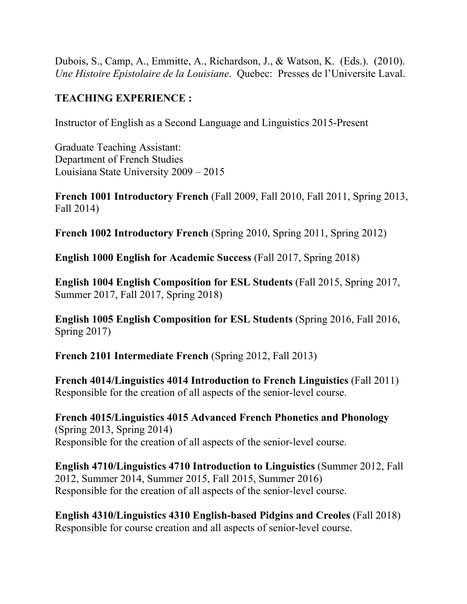Dubois, S., Camp, A., Emmitte, A., Richardson, J., & Watson, K. (Eds.). (2010). *Une Histoire Epistolaire de la Louisiane*. Quebec: Presses de l'Universite Laval.

### **TEACHING EXPERIENCE :**

Instructor of English as a Second Language and Linguistics 2015-Present

Graduate Teaching Assistant: Department of French Studies Louisiana State University 2009 – 2015

**French 1001 Introductory French** (Fall 2009, Fall 2010, Fall 2011, Spring 2013, Fall 2014)

**French 1002 Introductory French** (Spring 2010, Spring 2011, Spring 2012)

**English 1000 English for Academic Success** (Fall 2017, Spring 2018)

**English 1004 English Composition for ESL Students** (Fall 2015, Spring 2017, Summer 2017, Fall 2017, Spring 2018)

**English 1005 English Composition for ESL Students** (Spring 2016, Fall 2016, Spring 2017)

**French 2101 Intermediate French** (Spring 2012, Fall 2013)

**French 4014/Linguistics 4014 Introduction to French Linguistics** (Fall 2011) Responsible for the creation of all aspects of the senior-level course.

**French 4015/Linguistics 4015 Advanced French Phonetics and Phonology** (Spring 2013, Spring 2014) Responsible for the creation of all aspects of the senior-level course.

**English 4710/Linguistics 4710 Introduction to Linguistics** (Summer 2012, Fall 2012, Summer 2014, Summer 2015, Fall 2015, Summer 2016) Responsible for the creation of all aspects of the senior-level course.

**English 4310/Linguistics 4310 English-based Pidgins and Creoles** (Fall 2018) Responsible for course creation and all aspects of senior-level course.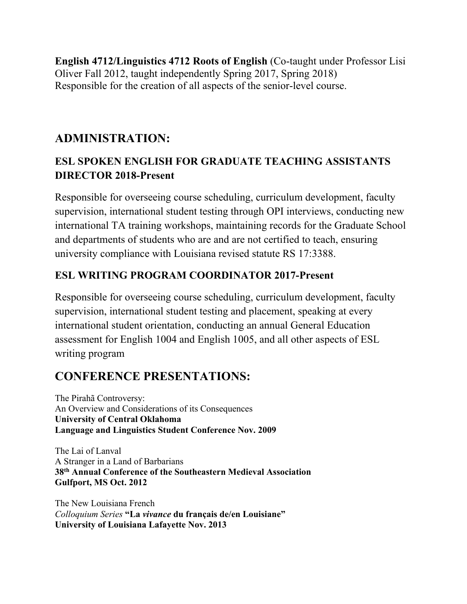**English 4712/Linguistics 4712 Roots of English** (Co-taught under Professor Lisi Oliver Fall 2012, taught independently Spring 2017, Spring 2018) Responsible for the creation of all aspects of the senior-level course.

## **ADMINISTRATION:**

## **ESL SPOKEN ENGLISH FOR GRADUATE TEACHING ASSISTANTS DIRECTOR 2018-Present**

Responsible for overseeing course scheduling, curriculum development, faculty supervision, international student testing through OPI interviews, conducting new international TA training workshops, maintaining records for the Graduate School and departments of students who are and are not certified to teach, ensuring university compliance with Louisiana revised statute RS 17:3388.

## **ESL WRITING PROGRAM COORDINATOR 2017-Present**

Responsible for overseeing course scheduling, curriculum development, faculty supervision, international student testing and placement, speaking at every international student orientation, conducting an annual General Education assessment for English 1004 and English 1005, and all other aspects of ESL writing program

# **CONFERENCE PRESENTATIONS:**

The Pirahã Controversy: An Overview and Considerations of its Consequences **University of Central Oklahoma Language and Linguistics Student Conference Nov. 2009**

The Lai of Lanval A Stranger in a Land of Barbarians **38th Annual Conference of the Southeastern Medieval Association Gulfport, MS Oct. 2012**

The New Louisiana French *Colloquium Series* **"La** *vivance* **du français de/en Louisiane" University of Louisiana Lafayette Nov. 2013**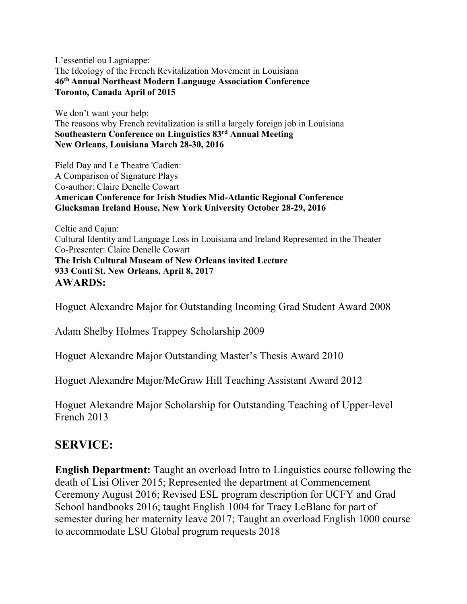L'essentiel ou Lagniappe: The Ideology of the French Revitalization Movement in Louisiana **46th Annual Northeast Modern Language Association Conference Toronto, Canada April of 2015**

We don't want your help: The reasons why French revitalization is still a largely foreign job in Louisiana **Southeastern Conference on Linguistics 83rd Annual Meeting New Orleans, Louisiana March 28-30, 2016**

Field Day and Le Theatre 'Cadien: A Comparison of Signature Plays Co-author: Claire Denelle Cowart **American Conference for Irish Studies Mid-Atlantic Regional Conference Glucksman Ireland House, New York University October 28-29, 2016**

Celtic and Cajun: Cultural Identity and Language Loss in Louisiana and Ireland Represented in the Theater Co-Presenter: Claire Denelle Cowart **The Irish Cultural Museam of New Orleans invited Lecture 933 Conti St. New Orleans, April 8, 2017 AWARDS:**

Hoguet Alexandre Major for Outstanding Incoming Grad Student Award 2008

Adam Shelby Holmes Trappey Scholarship 2009

Hoguet Alexandre Major Outstanding Master's Thesis Award 2010

Hoguet Alexandre Major/McGraw Hill Teaching Assistant Award 2012

Hoguet Alexandre Major Scholarship for Outstanding Teaching of Upper-level French 2013

## **SERVICE:**

**English Department:** Taught an overload Intro to Linguistics course following the death of Lisi Oliver 2015; Represented the department at Commencement Ceremony August 2016; Revised ESL program description for UCFY and Grad School handbooks 2016; taught English 1004 for Tracy LeBlanc for part of semester during her maternity leave 2017; Taught an overload English 1000 course to accommodate LSU Global program requests 2018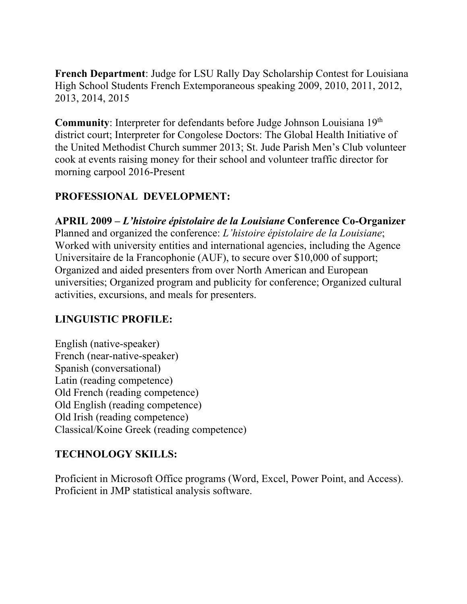**French Department**: Judge for LSU Rally Day Scholarship Contest for Louisiana High School Students French Extemporaneous speaking 2009, 2010, 2011, 2012, 2013, 2014, 2015

**Community**: Interpreter for defendants before Judge Johnson Louisiana 19th district court; Interpreter for Congolese Doctors: The Global Health Initiative of the United Methodist Church summer 2013; St. Jude Parish Men's Club volunteer cook at events raising money for their school and volunteer traffic director for morning carpool 2016-Present

### **PROFESSIONAL DEVELOPMENT:**

**APRIL 2009 –** *L'histoire épistolaire de la Louisiane* **Conference Co-Organizer** Planned and organized the conference: *L'histoire épistolaire de la Louisiane*; Worked with university entities and international agencies, including the Agence Universitaire de la Francophonie (AUF), to secure over \$10,000 of support; Organized and aided presenters from over North American and European universities; Organized program and publicity for conference; Organized cultural activities, excursions, and meals for presenters.

#### **LINGUISTIC PROFILE:**

English (native-speaker) French (near-native-speaker) Spanish (conversational) Latin (reading competence) Old French (reading competence) Old English (reading competence) Old Irish (reading competence) Classical/Koine Greek (reading competence)

#### **TECHNOLOGY SKILLS:**

Proficient in Microsoft Office programs (Word, Excel, Power Point, and Access). Proficient in JMP statistical analysis software.